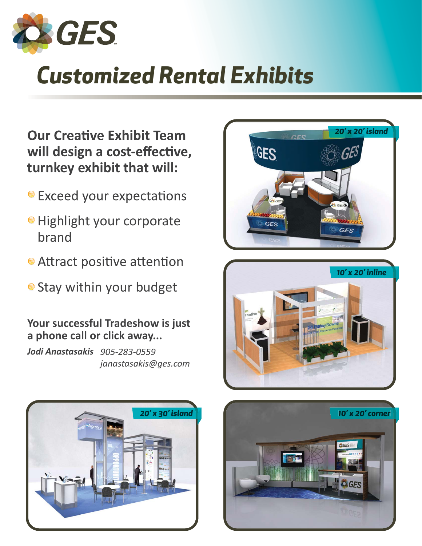

# *Customized Rental Exhibits*

**Our Creative Exhibit Team** will design a cost-effective, **turnkey exhibit that will:**

- **Exceed your expectations**
- **Highlight your corporate** brand
- Attract positive attention
- Stay within your budget

# **Your successful Tradeshow is just a phone call or click away...**

*Jodi Anastasakis 905-283-0559 janastasakis@ges.com*